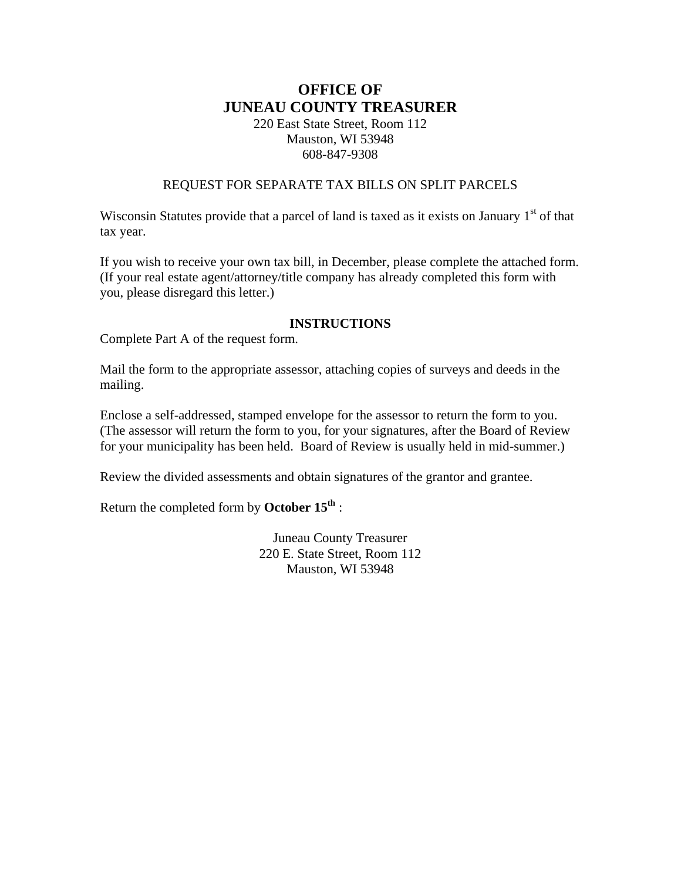# **OFFICE OF JUNEAU COUNTY TREASURER**

220 East State Street, Room 112 Mauston, WI 53948 608-847-9308

## REQUEST FOR SEPARATE TAX BILLS ON SPLIT PARCELS

Wisconsin Statutes provide that a parcel of land is taxed as it exists on January  $1<sup>st</sup>$  of that tax year.

If you wish to receive your own tax bill, in December, please complete the attached form. (If your real estate agent/attorney/title company has already completed this form with you, please disregard this letter.)

### **INSTRUCTIONS**

Complete Part A of the request form.

Mail the form to the appropriate assessor, attaching copies of surveys and deeds in the mailing.

Enclose a self-addressed, stamped envelope for the assessor to return the form to you. (The assessor will return the form to you, for your signatures, after the Board of Review for your municipality has been held. Board of Review is usually held in mid-summer.)

Review the divided assessments and obtain signatures of the grantor and grantee.

Return the completed form by **October 15th** :

Juneau County Treasurer 220 E. State Street, Room 112 Mauston, WI 53948